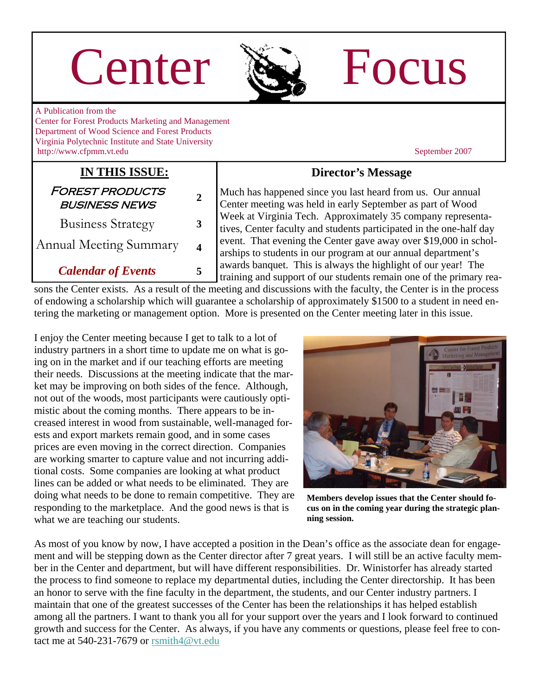# Center  $\sum$  Focus



A Publication from the Center for Forest Products Marketing and Management Department of Wood Science and Forest Products Virginia Polytechnic Institute and State University http://www.cfpmm.vt.edu September 2007

#### **IN THIS ISSUE:**

| <b>FOREST PRODUCTS</b><br><b>BUSINESS NEWS</b> | 2 |
|------------------------------------------------|---|
| <b>Business Strategy</b>                       | 3 |
| Annual Meeting Summary                         | 4 |
| <b>Calendar of Events</b>                      |   |

#### **Director's Message**

Much has happened since you last heard from us. Our annual Center meeting was held in early September as part of Wood Week at Virginia Tech. Approximately 35 company representatives, Center faculty and students participated in the one-half day event. That evening the Center gave away over \$19,000 in scholarships to students in our program at our annual department's awards banquet. This is always the highlight of our year! The training and support of our students remain one of the primary rea-

sons the Center exists. As a result of the meeting and discussions with the faculty, the Center is in the process of endowing a scholarship which will guarantee a scholarship of approximately \$1500 to a student in need entering the marketing or management option. More is presented on the Center meeting later in this issue.

I enjoy the Center meeting because I get to talk to a lot of industry partners in a short time to update me on what is going on in the market and if our teaching efforts are meeting their needs. Discussions at the meeting indicate that the market may be improving on both sides of the fence. Although, not out of the woods, most participants were cautiously optimistic about the coming months. There appears to be increased interest in wood from sustainable, well-managed forests and export markets remain good, and in some cases prices are even moving in the correct direction. Companies are working smarter to capture value and not incurring additional costs. Some companies are looking at what product lines can be added or what needs to be eliminated. They are doing what needs to be done to remain competitive. They are responding to the marketplace. And the good news is that is what we are teaching our students.



**Members develop issues that the Center should focus on in the coming year during the strategic planning session.** 

As most of you know by now, I have accepted a position in the Dean's office as the associate dean for engagement and will be stepping down as the Center director after 7 great years. I will still be an active faculty member in the Center and department, but will have different responsibilities. Dr. Winistorfer has already started the process to find someone to replace my departmental duties, including the Center directorship. It has been an honor to serve with the fine faculty in the department, the students, and our Center industry partners. I maintain that one of the greatest successes of the Center has been the relationships it has helped establish among all the partners. I want to thank you all for your support over the years and I look forward to continued growth and success for the Center. As always, if you have any comments or questions, please feel free to contact me at  $540-231-7679$  or rsmith $4@$  vt.edu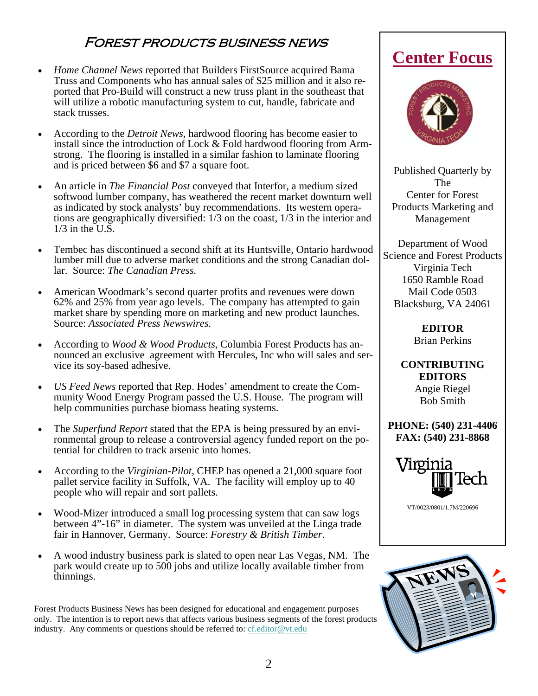#### Forest products business news

- *Home Channel News* reported that Builders FirstSource acquired Bama Truss and Components who has annual sales of \$25 million and it also reported that Pro-Build will construct a new truss plant in the southeast that will utilize a robotic manufacturing system to cut, handle, fabricate and stack trusses.
- According to the *Detroit News,* hardwood flooring has become easier to install since the introduction of Lock & Fold hardwood flooring from Armstrong. The flooring is installed in a similar fashion to laminate flooring and is priced between \$6 and \$7 a square foot.
- An article in *The Financial Post* conveyed that Interfor, a medium sized softwood lumber company, has weathered the recent market downturn well as indicated by stock analysts' buy recommendations. Its western operations are geographically diversified: 1/3 on the coast, 1/3 in the interior and  $1/3$  in the U.S.
- Tembec has discontinued a second shift at its Huntsville, Ontario hardwood lumber mill due to adverse market conditions and the strong Canadian dollar. Source: *The Canadian Press.*
- American Woodmark's second quarter profits and revenues were down 62% and 25% from year ago levels. The company has attempted to gain market share by spending more on marketing and new product launches. Source: *Associated Press Newswires.*
- According to *Wood & Wood Products*, Columbia Forest Products has announced an exclusive agreement with Hercules, Inc who will sales and service its soy-based adhesive.
- *US Feed News* reported that Rep. Hodes' amendment to create the Community Wood Energy Program passed the U.S. House. The program will help communities purchase biomass heating systems.
- The *Superfund Report* stated that the EPA is being pressured by an environmental group to release a controversial agency funded report on the potential for children to track arsenic into homes.
- According to the *Virginian-Pilot*, CHEP has opened a 21,000 square foot pallet service facility in Suffolk, VA. The facility will employ up to 40 people who will repair and sort pallets.
- Wood-Mizer introduced a small log processing system that can saw logs between 4"-16" in diameter. The system was unveiled at the Linga trade fair in Hannover, Germany. Source: *Forestry & British Timber*.
- A wood industry business park is slated to open near Las Vegas, NM. The park would create up to 500 jobs and utilize locally available timber from thinnings.

Forest Products Business News has been designed for educational and engagement purposes only. The intention is to report news that affects various business segments of the forest products industry. Any comments or questions should be referred to: [cf.editor@vt.edu](mailto:cf.editor@vt.edu?subject=Center%20Focus%20Comment)

### **Center Focus**



Published Quarterly by The Center for Forest Products Marketing and Management

Department of Wood Science and Forest Products Virginia Tech 1650 Ramble Road Mail Code 0503 Blacksburg, VA 24061

> **EDITOR**  Brian Perkins

**CONTRIBUTING EDITORS**  Angie Riegel Bob Smith

**PHONE: (540) 231-4406 FAX: (540) 231-8868** 



VT/0023/0801/1.7M/220696

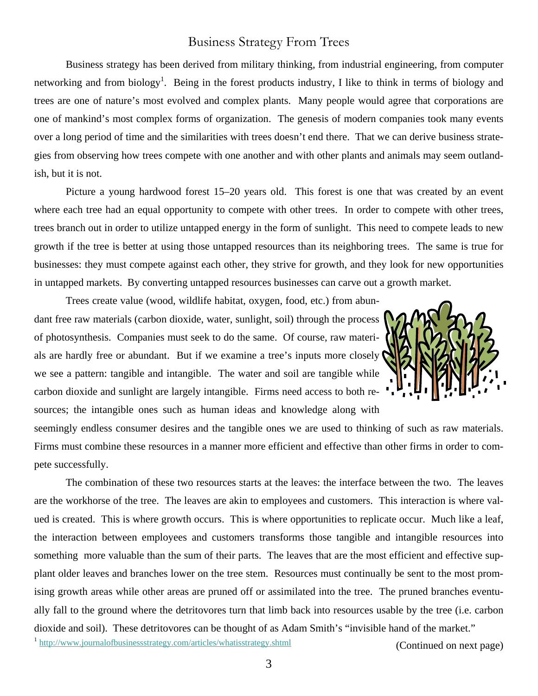#### Business Strategy From Trees

Business strategy has been derived from military thinking, from industrial engineering, from computer networking and from biology<sup>1</sup>. Being in the forest products industry, I like to think in terms of biology and trees are one of nature's most evolved and complex plants. Many people would agree that corporations are one of mankind's most complex forms of organization. The genesis of modern companies took many events over a long period of time and the similarities with trees doesn't end there. That we can derive business strategies from observing how trees compete with one another and with other plants and animals may seem outlandish, but it is not.

Picture a young hardwood forest 15–20 years old. This forest is one that was created by an event where each tree had an equal opportunity to compete with other trees. In order to compete with other trees, trees branch out in order to utilize untapped energy in the form of sunlight. This need to compete leads to new growth if the tree is better at using those untapped resources than its neighboring trees. The same is true for businesses: they must compete against each other, they strive for growth, and they look for new opportunities in untapped markets. By converting untapped resources businesses can carve out a growth market.

Trees create value (wood, wildlife habitat, oxygen, food, etc.) from abundant free raw materials (carbon dioxide, water, sunlight, soil) through the process of photosynthesis. Companies must seek to do the same. Of course, raw materials are hardly free or abundant. But if we examine a tree's inputs more closely we see a pattern: tangible and intangible. The water and soil are tangible while carbon dioxide and sunlight are largely intangible. Firms need access to both resources; the intangible ones such as human ideas and knowledge along with



seemingly endless consumer desires and the tangible ones we are used to thinking of such as raw materials. Firms must combine these resources in a manner more efficient and effective than other firms in order to compete successfully.

The combination of these two resources starts at the leaves: the interface between the two. The leaves are the workhorse of the tree. The leaves are akin to employees and customers. This interaction is where valued is created. This is where growth occurs. This is where opportunities to replicate occur. Much like a leaf, the interaction between employees and customers transforms those tangible and intangible resources into something more valuable than the sum of their parts. The leaves that are the most efficient and effective supplant older leaves and branches lower on the tree stem. Resources must continually be sent to the most promising growth areas while other areas are pruned off or assimilated into the tree. The pruned branches eventually fall to the ground where the detritovores turn that limb back into resources usable by the tree (i.e. carbon dioxide and soil). These detritovores can be thought of as Adam Smith's "invisible hand of the market."<br><sup>1</sup> <http://www.journalofbusinessstrategy.com/articles/whatisstrategy.shtml> (Continued on next page)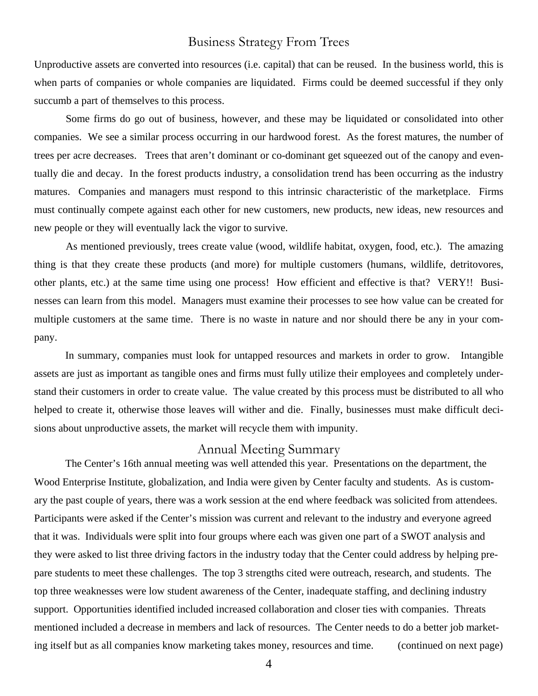#### Business Strategy From Trees

Unproductive assets are converted into resources (i.e. capital) that can be reused. In the business world, this is when parts of companies or whole companies are liquidated. Firms could be deemed successful if they only succumb a part of themselves to this process.

 Some firms do go out of business, however, and these may be liquidated or consolidated into other companies. We see a similar process occurring in our hardwood forest. As the forest matures, the number of trees per acre decreases. Trees that aren't dominant or co-dominant get squeezed out of the canopy and eventually die and decay. In the forest products industry, a consolidation trend has been occurring as the industry matures. Companies and managers must respond to this intrinsic characteristic of the marketplace. Firms must continually compete against each other for new customers, new products, new ideas, new resources and new people or they will eventually lack the vigor to survive.

 As mentioned previously, trees create value (wood, wildlife habitat, oxygen, food, etc.). The amazing thing is that they create these products (and more) for multiple customers (humans, wildlife, detritovores, other plants, etc.) at the same time using one process! How efficient and effective is that? VERY!! Businesses can learn from this model. Managers must examine their processes to see how value can be created for multiple customers at the same time. There is no waste in nature and nor should there be any in your company.

In summary, companies must look for untapped resources and markets in order to grow. Intangible assets are just as important as tangible ones and firms must fully utilize their employees and completely understand their customers in order to create value. The value created by this process must be distributed to all who helped to create it, otherwise those leaves will wither and die. Finally, businesses must make difficult decisions about unproductive assets, the market will recycle them with impunity.

#### Annual Meeting Summary

The Center's 16th annual meeting was well attended this year. Presentations on the department, the Wood Enterprise Institute, globalization, and India were given by Center faculty and students. As is customary the past couple of years, there was a work session at the end where feedback was solicited from attendees. Participants were asked if the Center's mission was current and relevant to the industry and everyone agreed that it was. Individuals were split into four groups where each was given one part of a SWOT analysis and they were asked to list three driving factors in the industry today that the Center could address by helping prepare students to meet these challenges. The top 3 strengths cited were outreach, research, and students. The top three weaknesses were low student awareness of the Center, inadequate staffing, and declining industry support. Opportunities identified included increased collaboration and closer ties with companies. Threats mentioned included a decrease in members and lack of resources. The Center needs to do a better job marketing itself but as all companies know marketing takes money, resources and time. (continued on next page)

4